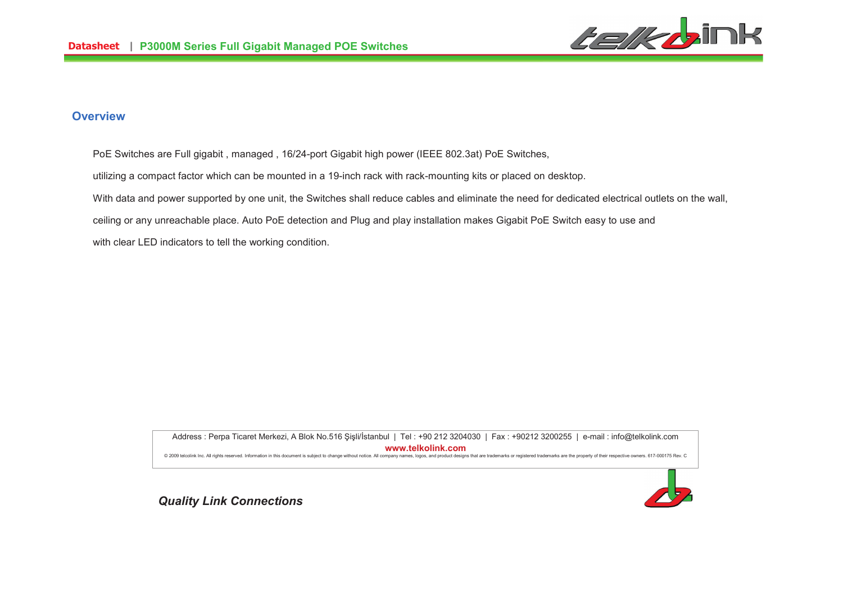

#### **Overview**

- PoE Switches are Full gigabit , managed , 16/24-port Gigabit high power (IEEE 802.3at) PoE Switches,
- utilizing a compact factor which can be mounted in a 19-inch rack with rack-mounting kits or placed on desktop.
- With data and power supported by one unit, the Switches shall reduce cables and eliminate the need for dedicated electrical outlets on the wall,
- ceiling or any unreachable place. Auto PoE detection and Plug and play installation makes Gigabit PoE Switch easy to use and
- with clear LED indicators to tell the working condition.

Address : Perpa Ticaret Merkezi, A Blok No.516 Şişli/İstanbul | Tel : +90 212 3204030 | Fax : +90212 3200255 | e-mail : info@telkolink.com **%%%&-&'**@ 2009 telcolink Inc. All rights reserved. Information in this document is subject to change without notice. All company names, logos, and product designs that are trademarks or registered trademarks are the property of th

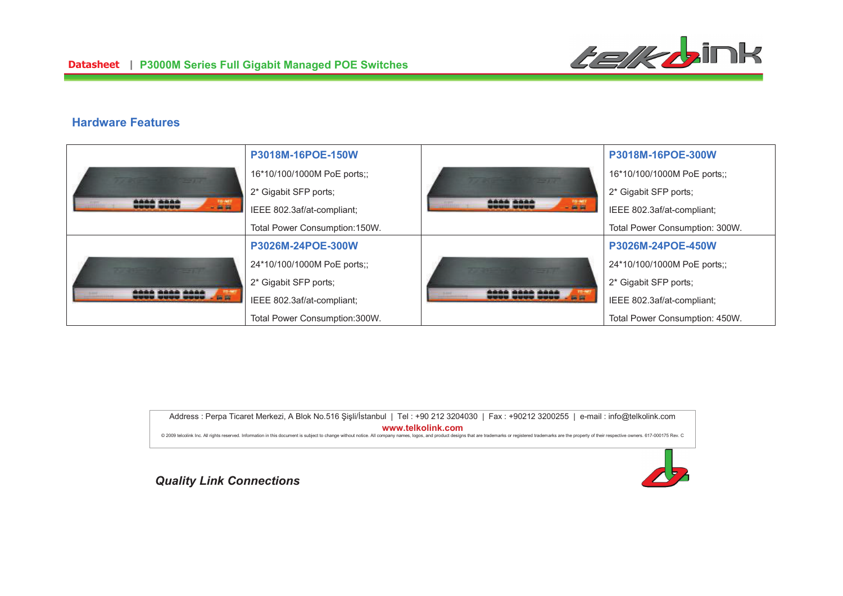#### **Hardware Features**

|                                                                                                                                                                                | P3018M-16POE-150W             |                              | P3018M-16POE-300W              |
|--------------------------------------------------------------------------------------------------------------------------------------------------------------------------------|-------------------------------|------------------------------|--------------------------------|
| the first terms of the<br>2000 3000<br>$-0.0$                                                                                                                                  | 16*10/100/1000M PoE ports;;   | <b>Commercial</b>            | 16*10/100/1000M PoE ports;;    |
|                                                                                                                                                                                | 2* Gigabit SFP ports;         | <b>COOC COOC</b><br>$- 0.01$ | 2* Gigabit SFP ports;          |
|                                                                                                                                                                                | IEEE 802.3af/at-compliant;    |                              | IEEE 802.3af/at-compliant;     |
|                                                                                                                                                                                | Total Power Consumption:150W. |                              | Total Power Consumption: 300W. |
| <b>And in the send of the company's the company's the company's the company's the company's the company's the company's</b><br><u> AAAA AAAA AAAA</u><br><b>UUUU UUUU UUUU</b> | P3026M-24POE-300W             |                              | P3026M-24POE-450W              |
|                                                                                                                                                                                | 24*10/100/1000M PoE ports;;   |                              | 24*10/100/1000M PoE ports;;    |
|                                                                                                                                                                                | 2* Gigabit SFP ports;         |                              | 2* Gigabit SFP ports;          |
|                                                                                                                                                                                | IEEE 802.3af/at-compliant;    |                              | IEEE 802.3af/at-compliant;     |
|                                                                                                                                                                                | Total Power Consumption:300W. |                              | Total Power Consumption: 450W. |

Address : Perpa Ticaret Merkezi, A Blok No.516 Şişli/İstanbul | Tel : +90 212 3204030 | Fax : +90212 3200255 | e-mail : info@telkolink.com **%%%&-&'**@ 2009 telcolink Inc. All rights reserved. Information in this document is subject to change without notice. All company names, logos, and product designs that are trademarks or registered trademarks are the property of th

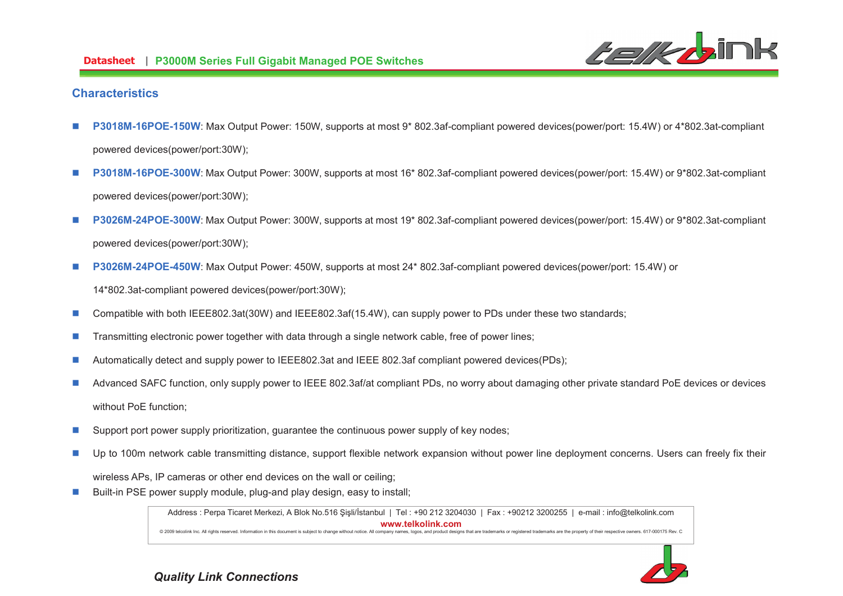

#### **Characteristics**

- n **P3018M-16POE-150W**: Max Output Power: 150W, supports at most 9\* 802.3af-compliant powered devices(power/port: 15.4W) or 4\*802.3at-compliant powered devices(power/port:30W);
- n **P3018M-16POE-300W**: Max Output Power: 300W, supports at most 16\* 802.3af-compliant powered devices(power/port: 15.4W) or 9\*802.3at-compliant powered devices(power/port:30W);
- n **P3026M-24POE-300W**: Max Output Power: 300W, supports at most 19\* 802.3af-compliant powered devices(power/port: 15.4W) or 9\*802.3at-compliant powered devices(power/port:30W);
- n**P3026M-24POE-450W**: Max Output Power: 450W, supports at most 24\* 802.3af-compliant powered devices(power/port: 15.4W) or

14\*802.3at-compliant powered devices(power/port:30W);

- nCompatible with both IEEE802.3at(30W) and IEEE802.3af(15.4W), can supply power to PDs under these two standards;
- nTransmitting electronic power together with data through a single network cable, free of power lines;
- nAutomatically detect and supply power to IEEE802.3at and IEEE 802.3af compliant powered devices(PDs);
- n Advanced SAFC function, only supply power to IEEE 802.3af/at compliant PDs, no worry about damaging other private standard PoE devices or devices without PoE function;
- nSupport port power supply prioritization, guarantee the continuous power supply of key nodes;
- n Up to 100m network cable transmitting distance, support flexible network expansion without power line deployment concerns. Users can freely fix their wireless APs, IP cameras or other end devices on the wall or ceiling;
- nBuilt-in PSE power supply module, plug-and play design, easy to install;

Address : Perpa Ticaret Merkezi, A Blok No.516 Şişli/İstanbul | Tel : +90 212 3204030 | Fax : +90212 3200255 | e-mail : info@telkolink.com **%%%&-&'**@ 2009 telcolink Inc. All rights reserved. Information in this document is subject to change without notice. All company names, logos, and product designs that are trademarks or registered trademarks are the property of th

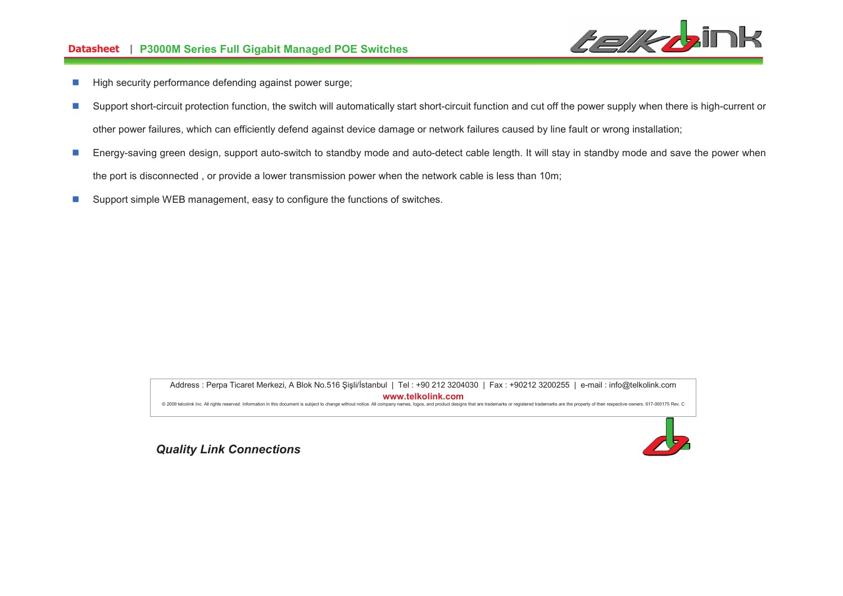# **-- P3000M Series Full Gigabit Managed POE Switches**



- nHigh security performance defending against power surge;
- nSupport short-circuit protection function, the switch will automatically start short-circuit function and cut off the power supply when there is high-current or other power failures, which can efficiently defend against device damage or network failures caused by line fault or wrong installation;
- n Energy-saving green design, support auto-switch to standby mode and auto-detect cable length. It will stay in standby mode and save the power when the port is disconnected , or provide a lower transmission power when the network cable is less than 10m;
- nSupport simple WEB management, easy to configure the functions of switches.

Address : Perpa Ticaret Merkezi, A Blok No.516 Şişli/İstanbul | Tel : +90 212 3204030 | Fax : +90212 3200255 | e-mail : info@telkolink.com **%%%&-&'**@ 2009 telcolink Inc. All rights reserved. Information in this document is subject to change without notice. All company names, logos, and product designs that are trademarks or registered trademarks are the property of th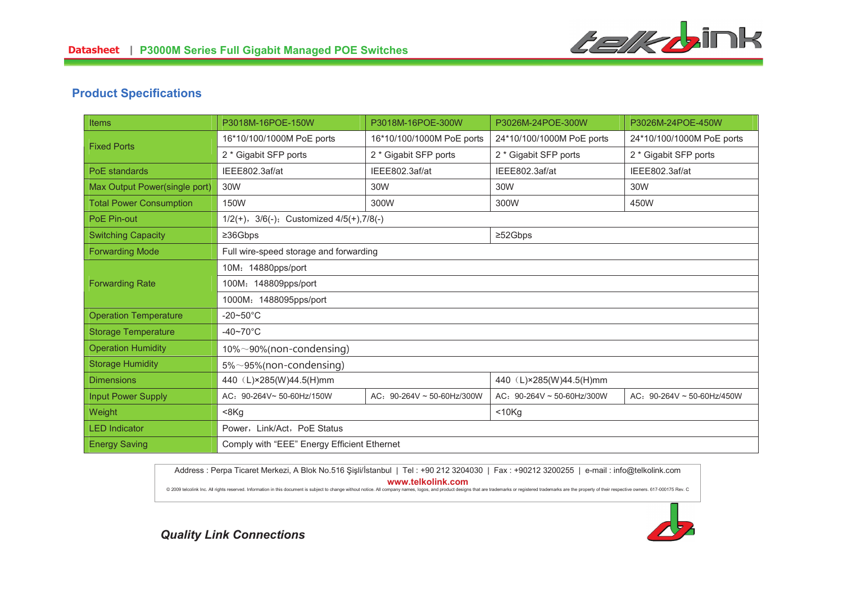

## **Product Specifications**

| <b>Items</b>                   | P3018M-16POE-150W                                    | P3018M-16POE-300W               | P3026M-24POE-300W               | P3026M-24POE-450W               |
|--------------------------------|------------------------------------------------------|---------------------------------|---------------------------------|---------------------------------|
| <b>Fixed Ports</b>             | 16*10/100/1000M PoE ports                            | 16*10/100/1000M PoE ports       | 24*10/100/1000M PoE ports       | 24*10/100/1000M PoE ports       |
|                                | 2 * Gigabit SFP ports                                | 2 * Gigabit SFP ports           | 2 * Gigabit SFP ports           | 2 * Gigabit SFP ports           |
| PoE standards                  | IEEE802.3af/at                                       | IEEE802.3af/at                  | IEEE802.3af/at                  | IEEE802.3af/at                  |
| Max Output Power(single port)  | 30W                                                  | 30W                             | 30W                             | 30W                             |
| <b>Total Power Consumption</b> | 150W                                                 | 300W                            | 300W                            | 450W                            |
| PoE Pin-out                    | $1/2(+)$ , $3/6(-)$ ; Customized $4/5(+)$ , $7/8(-)$ |                                 |                                 |                                 |
| <b>Switching Capacity</b>      | $\geq$ 36Gbps                                        |                                 | $\geq$ 52Gbps                   |                                 |
| <b>Forwarding Mode</b>         | Full wire-speed storage and forwarding               |                                 |                                 |                                 |
|                                | 10M: 14880pps/port                                   |                                 |                                 |                                 |
| <b>Forwarding Rate</b>         | 100M: 148809pps/port                                 |                                 |                                 |                                 |
|                                | 1000M: 1488095pps/port                               |                                 |                                 |                                 |
| <b>Operation Temperature</b>   | $-20\nthicksim50^{\circ}$ C                          |                                 |                                 |                                 |
| <b>Storage Temperature</b>     | $-40 - 70$ °C                                        |                                 |                                 |                                 |
| <b>Operation Humidity</b>      | $10\% \sim 90\%$ (non-condensing)                    |                                 |                                 |                                 |
| <b>Storage Humidity</b>        | $5\% \sim 95\%$ (non-condensing)                     |                                 |                                 |                                 |
| <b>Dimensions</b>              | 440 (L)×285(W)44.5(H)mm                              |                                 | 440 (L)×285(W)44.5(H)mm         |                                 |
| <b>Input Power Supply</b>      | AC: 90-264V~ 50-60Hz/150W                            | AC: $90-264V \sim 50-60Hz/300W$ | AC: $90-264V \sim 50-60Hz/300W$ | AC: $90-264V \sim 50-60Hz/450W$ |
| Weight                         | $8Kq$                                                |                                 | $<$ 10 $Kq$                     |                                 |
| <b>LED Indicator</b>           | Power, Link/Act, PoE Status                          |                                 |                                 |                                 |
| <b>Energy Saving</b>           | Comply with "EEE" Energy Efficient Ethernet          |                                 |                                 |                                 |

Address : Perpa Ticaret Merkezi, A Blok No.516 Şişli/İstanbul | Tel : +90 212 3204030 | Fax : +90212 3200255 | e-mail : info@telkolink.com **%%%&-&'**

@ 2009 telcolink Inc. All rights reserved. Information in this document is subject to change without notice. All company names, logos, and product designs that are trademarks or registered trademarks are the property of th

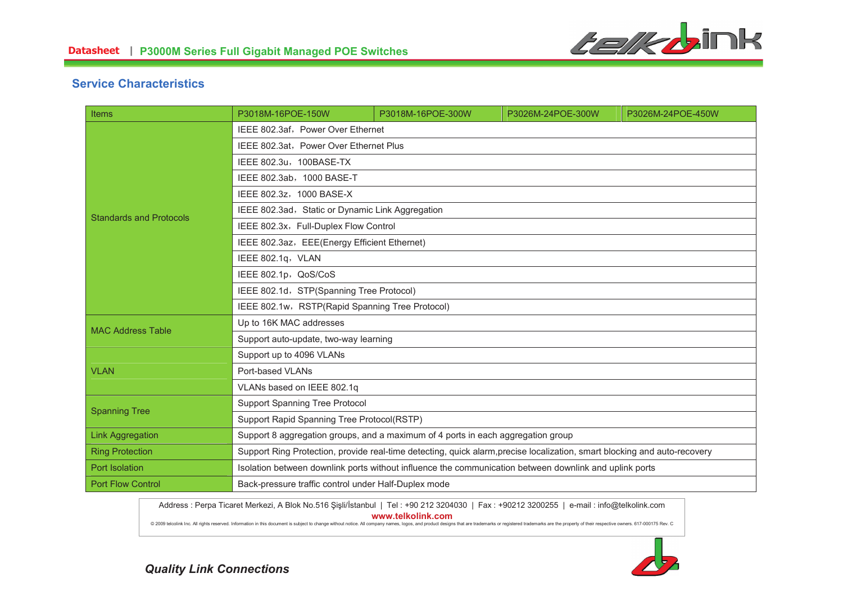

### **Service Characteristics**

| <b>Items</b>                   | P3018M-16POE-150W                                                                                                         | P3018M-16POE-300W | P3026M-24POE-300W | P3026M-24POE-450W |
|--------------------------------|---------------------------------------------------------------------------------------------------------------------------|-------------------|-------------------|-------------------|
| <b>Standards and Protocols</b> | IEEE 802.3af, Power Over Ethernet                                                                                         |                   |                   |                   |
|                                | IEEE 802.3at, Power Over Ethernet Plus                                                                                    |                   |                   |                   |
|                                | IEEE 802.3u, 100BASE-TX                                                                                                   |                   |                   |                   |
|                                | IEEE 802.3ab, 1000 BASE-T                                                                                                 |                   |                   |                   |
|                                | IEEE 802.3z, 1000 BASE-X                                                                                                  |                   |                   |                   |
|                                | IEEE 802.3ad, Static or Dynamic Link Aggregation                                                                          |                   |                   |                   |
|                                | IEEE 802.3x, Full-Duplex Flow Control                                                                                     |                   |                   |                   |
|                                | IEEE 802.3az, EEE(Energy Efficient Ethernet)                                                                              |                   |                   |                   |
|                                | IEEE 802.1q, VLAN                                                                                                         |                   |                   |                   |
|                                | IEEE 802.1p, QoS/CoS                                                                                                      |                   |                   |                   |
|                                | IEEE 802.1d, STP(Spanning Tree Protocol)                                                                                  |                   |                   |                   |
|                                | IEEE 802.1w, RSTP(Rapid Spanning Tree Protocol)                                                                           |                   |                   |                   |
| <b>MAC Address Table</b>       | Up to 16K MAC addresses                                                                                                   |                   |                   |                   |
|                                | Support auto-update, two-way learning                                                                                     |                   |                   |                   |
|                                | Support up to 4096 VLANs                                                                                                  |                   |                   |                   |
| <b>VLAN</b>                    | Port-based VLANs                                                                                                          |                   |                   |                   |
|                                | VLANs based on IEEE 802.1q                                                                                                |                   |                   |                   |
| <b>Spanning Tree</b>           | Support Spanning Tree Protocol                                                                                            |                   |                   |                   |
|                                | Support Rapid Spanning Tree Protocol(RSTP)                                                                                |                   |                   |                   |
| <b>Link Aggregation</b>        | Support 8 aggregation groups, and a maximum of 4 ports in each aggregation group                                          |                   |                   |                   |
| <b>Ring Protection</b>         | Support Ring Protection, provide real-time detecting, quick alarm, precise localization, smart blocking and auto-recovery |                   |                   |                   |
| Port Isolation                 | Isolation between downlink ports without influence the communication between downlink and uplink ports                    |                   |                   |                   |
| <b>Port Flow Control</b>       | Back-pressure traffic control under Half-Duplex mode                                                                      |                   |                   |                   |

Address : Perpa Ticaret Merkezi, A Blok No.516 Şişli/İstanbul | Tel : +90 212 3204030 | Fax : +90212 3200255 | e-mail : info@telkolink.com **%%%&-&'**

@ 2009 telcolink Inc. All rights reserved. Information in this document is subject to change without notice. All company names, logos, and product designs that are trademarks or registered trademarks are the property of th

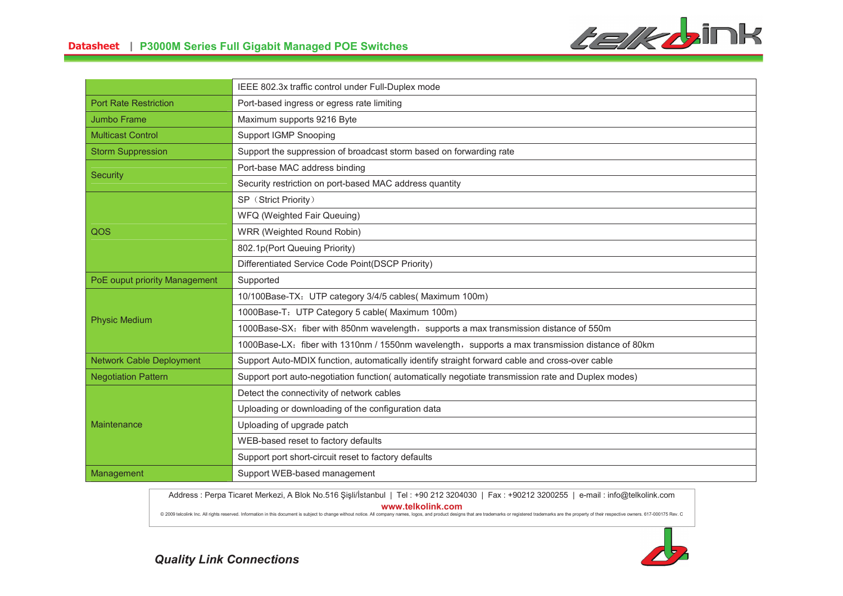

|                                 | IEEE 802.3x traffic control under Full-Duplex mode                                                 |  |
|---------------------------------|----------------------------------------------------------------------------------------------------|--|
| <b>Port Rate Restriction</b>    | Port-based ingress or egress rate limiting                                                         |  |
| Jumbo Frame                     | Maximum supports 9216 Byte                                                                         |  |
| <b>Multicast Control</b>        | <b>Support IGMP Snooping</b>                                                                       |  |
| <b>Storm Suppression</b>        | Support the suppression of broadcast storm based on forwarding rate                                |  |
| <b>Security</b>                 | Port-base MAC address binding                                                                      |  |
|                                 | Security restriction on port-based MAC address quantity                                            |  |
| QOS                             | SP (Strict Priority)                                                                               |  |
|                                 | WFQ (Weighted Fair Queuing)                                                                        |  |
|                                 | WRR (Weighted Round Robin)                                                                         |  |
|                                 | 802.1p(Port Queuing Priority)                                                                      |  |
|                                 | Differentiated Service Code Point(DSCP Priority)                                                   |  |
| PoE ouput priority Management   | Supported                                                                                          |  |
|                                 | 10/100Base-TX: UTP category 3/4/5 cables( Maximum 100m)                                            |  |
| <b>Physic Medium</b>            | 1000Base-T: UTP Category 5 cable( Maximum 100m)                                                    |  |
|                                 | 1000Base-SX: fiber with 850nm wavelength, supports a max transmission distance of 550m             |  |
|                                 | 1000Base-LX: fiber with 1310nm / 1550nm wavelength, supports a max transmission distance of 80km   |  |
| <b>Network Cable Deployment</b> | Support Auto-MDIX function, automatically identify straight forward cable and cross-over cable     |  |
| <b>Negotiation Pattern</b>      | Support port auto-negotiation function(automatically negotiate transmission rate and Duplex modes) |  |
|                                 | Detect the connectivity of network cables                                                          |  |
|                                 | Uploading or downloading of the configuration data                                                 |  |
| Maintenance                     | Uploading of upgrade patch                                                                         |  |
|                                 | WEB-based reset to factory defaults                                                                |  |
|                                 | Support port short-circuit reset to factory defaults                                               |  |
| Management                      | Support WEB-based management                                                                       |  |

Address : Perpa Ticaret Merkezi, A Blok No.516 Şişli/İstanbul | Tel : +90 212 3204030 | Fax : +90212 3200255 | e-mail : info@telkolink.com

**%%%&-&'**

@ 2009 telcolink Inc. All rights reserved. Information in this document is subject to change without notice. All company names, logos, and product designs that are trademarks or registered trademarks are the property of th